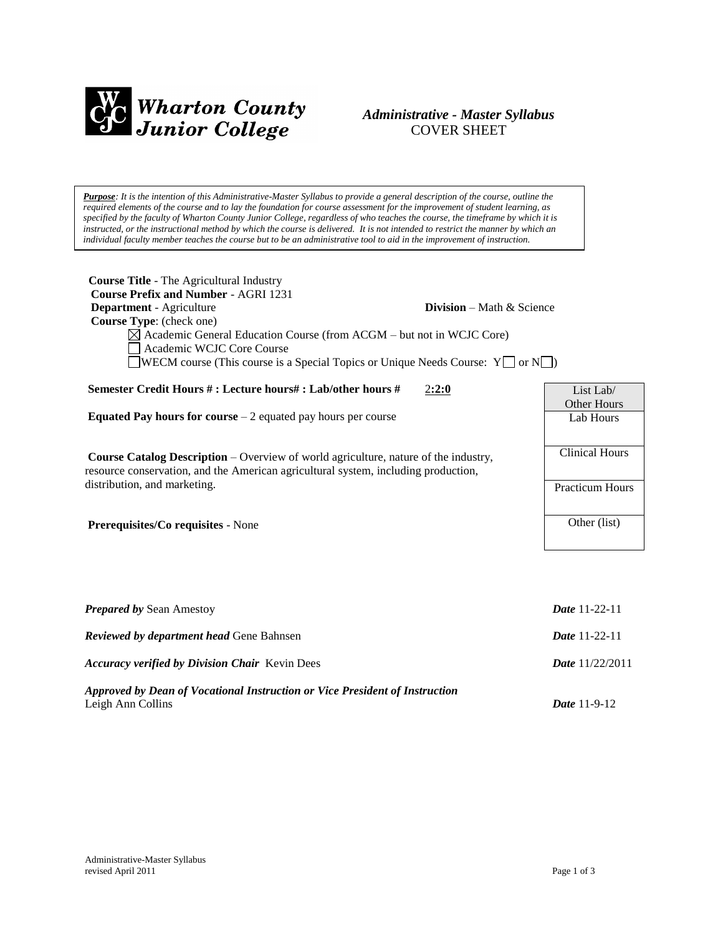

# *Administrative - Master Syllabus*  COVER SHEET

*Purpose: It is the intention of this Administrative-Master Syllabus to provide a general description of the course, outline the required elements of the course and to lay the foundation for course assessment for the improvement of student learning, as specified by the faculty of Wharton County Junior College, regardless of who teaches the course, the timeframe by which it is instructed, or the instructional method by which the course is delivered. It is not intended to restrict the manner by which an individual faculty member teaches the course but to be an administrative tool to aid in the improvement of instruction.*

| <b>Course Title - The Agricultural Industry</b><br><b>Course Prefix and Number - AGRI 1231</b><br>Department - Agriculture<br><b>Division</b> – Math & Science<br>Course Type: (check one)<br>$\boxtimes$ Academic General Education Course (from ACGM – but not in WCJC Core)<br>Academic WCJC Core Course<br>WECM course (This course is a Special Topics or Unique Needs Course: $Y \Box$ or $N \Box$ ) |                          |
|------------------------------------------------------------------------------------------------------------------------------------------------------------------------------------------------------------------------------------------------------------------------------------------------------------------------------------------------------------------------------------------------------------|--------------------------|
| Semester Credit Hours #: Lecture hours#: Lab/other hours #<br>2:2:0                                                                                                                                                                                                                                                                                                                                        | List Lab/<br>Other Hours |
| <b>Equated Pay hours for course</b> $-2$ equated pay hours per course                                                                                                                                                                                                                                                                                                                                      | Lab Hours                |
| <b>Course Catalog Description</b> – Overview of world agriculture, nature of the industry,<br>resource conservation, and the American agricultural system, including production,                                                                                                                                                                                                                           | <b>Clinical Hours</b>    |
| distribution, and marketing.                                                                                                                                                                                                                                                                                                                                                                               | <b>Practicum Hours</b>   |
| Prerequisites/Co requisites - None                                                                                                                                                                                                                                                                                                                                                                         | Other (list)             |
|                                                                                                                                                                                                                                                                                                                                                                                                            |                          |
| <b>Prepared by Sean Amestoy</b>                                                                                                                                                                                                                                                                                                                                                                            | <b>Date 11-22-11</b>     |
| Reviewed by department head Gene Bahnsen                                                                                                                                                                                                                                                                                                                                                                   | Date 11-22-11            |
| <b>Accuracy verified by Division Chair Kevin Dees</b>                                                                                                                                                                                                                                                                                                                                                      | <b>Date</b> 11/22/2011   |
| Approved by Dean of Vocational Instruction or Vice President of Instruction<br>Leigh Ann Collins                                                                                                                                                                                                                                                                                                           | Date 11-9-12             |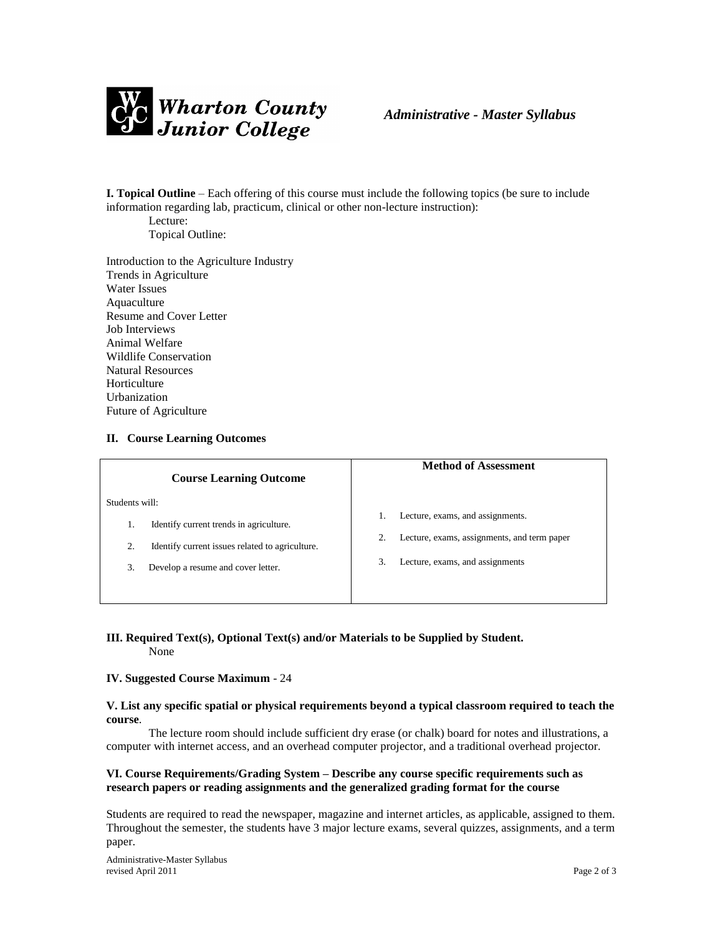

**I. Topical Outline** – Each offering of this course must include the following topics (be sure to include information regarding lab, practicum, clinical or other non-lecture instruction):

Lecture: Topical Outline:

Introduction to the Agriculture Industry Trends in Agriculture Water Issues Aquaculture Resume and Cover Letter Job Interviews Animal Welfare Wildlife Conservation Natural Resources Horticulture Urbanization Future of Agriculture

# **II. Course Learning Outcomes**

| <b>Course Learning Outcome</b>                        | <b>Method of Assessment</b>                       |
|-------------------------------------------------------|---------------------------------------------------|
| Students will:                                        |                                                   |
| Identify current trends in agriculture.<br>1.         | Lecture, exams, and assignments.                  |
| 2.<br>Identify current issues related to agriculture. | 2.<br>Lecture, exams, assignments, and term paper |
| 3.<br>Develop a resume and cover letter.              | Lecture, exams, and assignments<br>3.             |
|                                                       |                                                   |

#### **III. Required Text(s), Optional Text(s) and/or Materials to be Supplied by Student.** None

#### **IV. Suggested Course Maximum** - 24

#### **V. List any specific spatial or physical requirements beyond a typical classroom required to teach the course**.

The lecture room should include sufficient dry erase (or chalk) board for notes and illustrations, a computer with internet access, and an overhead computer projector, and a traditional overhead projector.

## **VI. Course Requirements/Grading System – Describe any course specific requirements such as research papers or reading assignments and the generalized grading format for the course**

Students are required to read the newspaper, magazine and internet articles, as applicable, assigned to them. Throughout the semester, the students have 3 major lecture exams, several quizzes, assignments, and a term paper.